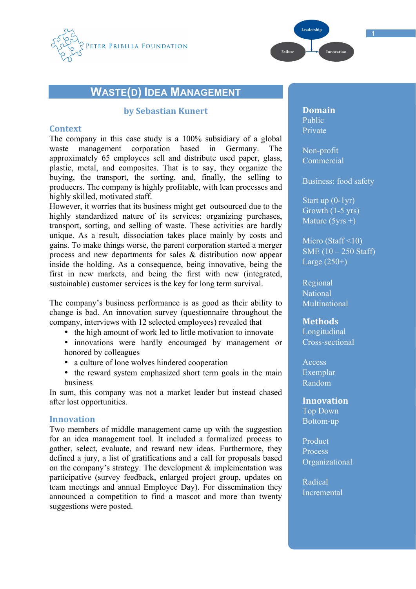



# **WASTE(D) IDEA MANAGEMENT**

## **by Sebastian
Kunert**

### **Context**

The company in this case study is a 100% subsidiary of a global waste management corporation based in Germany. The approximately 65 employees sell and distribute used paper, glass, plastic, metal, and composites. That is to say, they organize the buying, the transport, the sorting, and, finally, the selling to producers. The company is highly profitable, with lean processes and highly skilled, motivated staff.

However, it worries that its business might get outsourced due to the highly standardized nature of its services: organizing purchases, transport, sorting, and selling of waste. These activities are hardly unique. As a result, dissociation takes place mainly by costs and gains. To make things worse, the parent corporation started a merger process and new departments for sales & distribution now appear inside the holding. As a consequence, being innovative, being the first in new markets, and being the first with new (integrated, sustainable) customer services is the key for long term survival.

The company's business performance is as good as their ability to change is bad. An innovation survey (questionnaire throughout the company, interviews with 12 selected employees) revealed that

- the high amount of work led to little motivation to innovate
- innovations were hardly encouraged by management or honored by colleagues
- a culture of lone wolves hindered cooperation
- the reward system emphasized short term goals in the main business

In sum, this company was not a market leader but instead chased after lost opportunities.

#### **Innovation**

Two members of middle management came up with the suggestion for an idea management tool. It included a formalized process to gather, select, evaluate, and reward new ideas. Furthermore, they defined a jury, a list of gratifications and a call for proposals based on the company's strategy. The development  $\&$  implementation was participative (survey feedback, enlarged project group, updates on team meetings and annual Employee Day). For dissemination they announced a competition to find a mascot and more than twenty suggestions were posted.

**Domain** Public Private

Non-profit Commercial

Business: food safety

Start up (0-1yr) Growth (1-5 yrs) Mature  $(5yrs + )$ 

Micro (Staff  $\leq$ 10) SME (10 – 250 Staff) Large  $(250+)$ 

Regional National Multinational

#### **Methods**

Longitudinal Cross-sectional

Access Exemplar Random

## **Innovation**

Top Down Bottom-up

Product Process Organizational

Radical Incremental